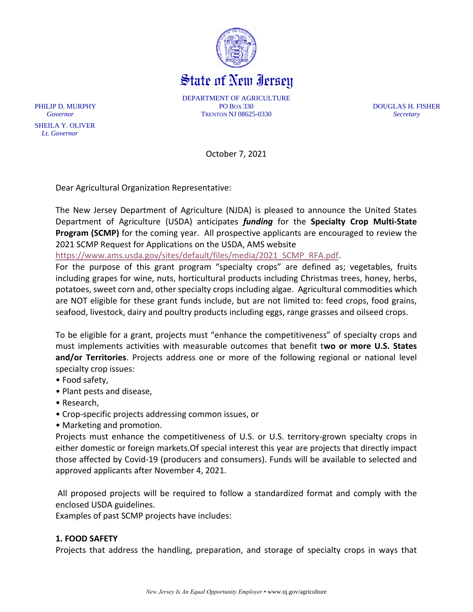

State of New Iersey

DEPARTMENT OF AGRICULTURE PHILIP D. MURPHY PO BOX 330 DOUGLAS H. FISHER *Governor* TRENTON NJ 08625-0330 *Secretary*

October 7, 2021

Dear Agricultural Organization Representative:

The New Jersey Department of Agriculture (NJDA) is pleased to announce the United States Department of Agriculture (USDA) anticipates *funding* for the **Specialty Crop Multi-State Program (SCMP)** for the coming year. All prospective applicants are encouraged to review the 2021 SCMP Request for Applications on the USDA, AMS website

[https://www.ams.usda.gov/sites/default/files/media/2021\\_SCMP\\_RFA.pdf.](https://www.ams.usda.gov/sites/default/files/media/2021_SCMP_RFA.pdf)

For the purpose of this grant program "specialty crops" are defined as; vegetables, fruits including grapes for wine, nuts, horticultural products including Christmas trees, honey, herbs, potatoes, sweet corn and, other specialty crops including algae. Agricultural commodities which are NOT eligible for these grant funds include, but are not limited to: feed crops, food grains, seafood, livestock, dairy and poultry products including eggs, range grasses and oilseed crops.

To be eligible for a grant, projects must "enhance the competitiveness" of specialty crops and must implements activities with measurable outcomes that benefit t**wo or more U.S. States and/or Territories**. Projects address one or more of the following regional or national level specialty crop issues:

- Food safety,
- Plant pests and disease,
- Research,

 SHEILA Y. OLIVER  *Lt. Governor*

- Crop-specific projects addressing common issues, or
- Marketing and promotion.

Projects must enhance the competitiveness of U.S. or U.S. territory-grown specialty crops in either domestic or foreign markets.Of special interest this year are projects that directly impact those affected by Covid-19 (producers and consumers). Funds will be available to selected and approved applicants after November 4, 2021.

All proposed projects will be required to follow a standardized format and comply with the enclosed USDA guidelines.

Examples of past SCMP projects have includes:

### **1. FOOD SAFETY**

Projects that address the handling, preparation, and storage of specialty crops in ways that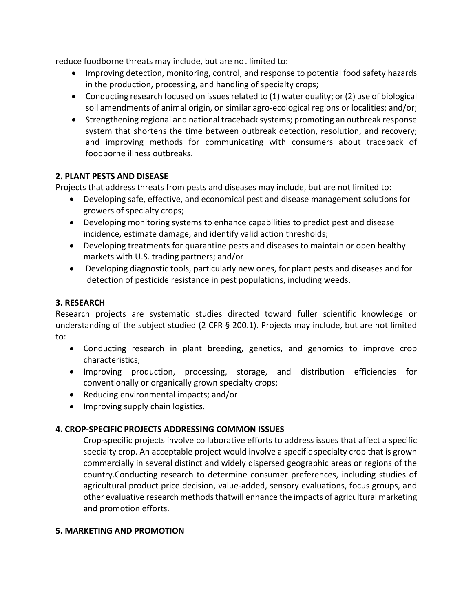reduce foodborne threats may include, but are not limited to:

- Improving detection, monitoring, control, and response to potential food safety hazards in the production, processing, and handling of specialty crops;
- Conducting research focused on issues related to (1) water quality; or (2) use of biological soil amendments of animal origin, on similar agro-ecological regions or localities; and/or;
- Strengthening regional and national traceback systems; promoting an outbreak response system that shortens the time between outbreak detection, resolution, and recovery; and improving methods for communicating with consumers about traceback of foodborne illness outbreaks.

# **2. PLANT PESTS AND DISEASE**

Projects that address threats from pests and diseases may include, but are not limited to:

- Developing safe, effective, and economical pest and disease management solutions for growers of specialty crops;
- Developing monitoring systems to enhance capabilities to predict pest and disease incidence, estimate damage, and identify valid action thresholds;
- Developing treatments for quarantine pests and diseases to maintain or open healthy markets with U.S. trading partners; and/or
- Developing diagnostic tools, particularly new ones, for plant pests and diseases and for detection of pesticide resistance in pest populations, including weeds.

# **3. RESEARCH**

Research projects are systematic studies directed toward fuller scientific knowledge or understanding of the subject studied (2 CFR § 200.1). Projects may include, but are not limited to:

- Conducting research in plant breeding, genetics, and genomics to improve crop characteristics;
- Improving production, processing, storage, and distribution efficiencies for conventionally or organically grown specialty crops;
- Reducing environmental impacts; and/or
- Improving supply chain logistics.

# **4. CROP-SPECIFIC PROJECTS ADDRESSING COMMON ISSUES**

Crop-specific projects involve collaborative efforts to address issues that affect a specific specialty crop. An acceptable project would involve a specific specialty crop that is grown commercially in several distinct and widely dispersed geographic areas or regions of the country.Conducting research to determine consumer preferences, including studies of agricultural product price decision, value-added, sensory evaluations, focus groups, and other evaluative research methods thatwill enhance the impacts of agricultural marketing and promotion efforts.

# **5. MARKETING AND PROMOTION**